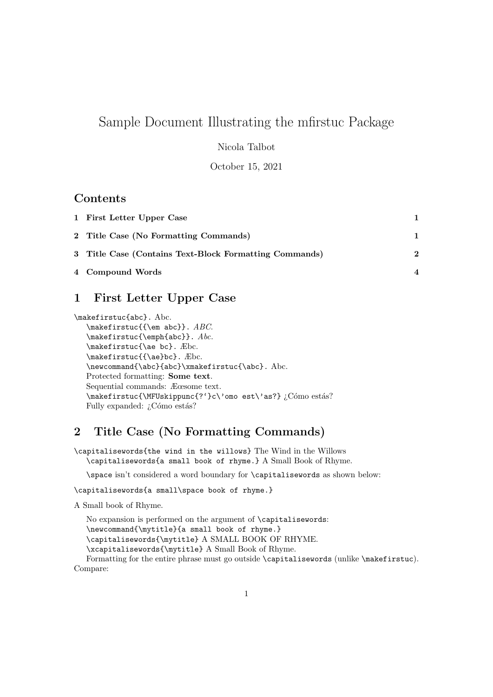# Sample Document Illustrating the mfirstuc Package

### Nicola Talbot

October 15, 2021

### Contents

| 1 First Letter Upper Case                              |   |
|--------------------------------------------------------|---|
| 2 Title Case (No Formatting Commands)                  |   |
| 3 Title Case (Contains Text-Block Formatting Commands) | 2 |
| 4 Compound Words                                       |   |

## <span id="page-0-0"></span>1 First Letter Upper Case

```
\makefirstuc{abc}. Abc.
   \makefirstuc{{\em abc}}. ABC.
   \makefirstuc{\emph{abc}}. Abc.
   \makefirstuc{\ae bc}. Æbc.
   \makefirstuc{{\ae}bc}. Æbc.
   \newcommand{\abc}{abc}\xmakefirstuc{\abc}. Abc.
  Protected formatting: Some text.
  Sequential commands: Æœsome text.
  \makefirstuc{\MFUskippunc{?'}c\'omo est\'as?} ¿Cómo estás?
  Fully expanded: iCómo estás?
```
## <span id="page-0-1"></span>2 Title Case (No Formatting Commands)

\capitalisewords{the wind in the willows} The Wind in the Willows \capitalisewords{a small book of rhyme.} A Small Book of Rhyme.

\space isn't considered a word boundary for \capitalisewords as shown below:

### \capitalisewords{a small\space book of rhyme.}

A Small book of Rhyme.

No expansion is performed on the argument of \capitalisewords: \newcommand{\mytitle}{a small book of rhyme.} \capitalisewords{\mytitle} A SMALL BOOK OF RHYME. \xcapitalisewords{\mytitle} A Small Book of Rhyme.

Formatting for the entire phrase must go outside \capitalisewords (unlike \makefirstuc). Compare: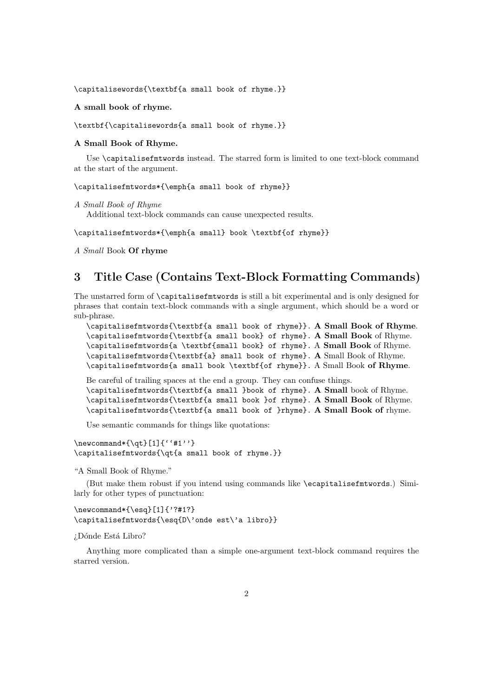\capitalisewords{\textbf{a small book of rhyme.}}

A small book of rhyme.

\textbf{\capitalisewords{a small book of rhyme.}}

#### A Small Book of Rhyme.

Use \capitalisefmtwords instead. The starred form is limited to one text-block command at the start of the argument.

\capitalisefmtwords\*{\emph{a small book of rhyme}}

```
A Small Book of Rhyme
```
Additional text-block commands can cause unexpected results.

\capitalisefmtwords\*{\emph{a small} book \textbf{of rhyme}}

A Small Book Of rhyme

### <span id="page-1-0"></span>3 Title Case (Contains Text-Block Formatting Commands)

The unstarred form of \capitalisefmtwords is still a bit experimental and is only designed for phrases that contain text-block commands with a single argument, which should be a word or sub-phrase.

```
\capitalisefmtwords{\textbf{a small book of rhyme}}. A Small Book of Rhyme.
\capitalisefmtwords{\textbf{a small book} of rhyme}. A Small Book of Rhyme.
\capitalisefmtwords{a \textbf{small book} of rhyme}. A Small Book of Rhyme.
\capitalisefmtwords{\textbf{a} small book of rhyme}. A Small Book of Rhyme.
\capitalisefmtwords{a small book \textbf{of rhyme}}. A Small Book of Rhyme.
```
Be careful of trailing spaces at the end a group. They can confuse things.

```
\capitalisefmtwords{\textbf{a small }book of rhyme}. A Small book of Rhyme.
\capitalisefmtwords{\textbf{a small book }of rhyme}. A Small Book of Rhyme.
\capitalisefmtwords{\textbf{a small book of }rhyme}. A Small Book of rhyme.
```
Use semantic commands for things like quotations:

```
\verb+\newcommand*{\qquad}{\qquad [1]{' '#1'}'\capitalisefmtwords{\qt{a small book of rhyme.}}
```
"A Small Book of Rhyme."

(But make them robust if you intend using commands like \ecapitalisefmtwords.) Similarly for other types of punctuation:

```
\newcommand*{\esq}[1]{'?#1?}
\capitalisefmtwords{\esq{D\'onde est\'a libro}}
```
¿Dónde Está Libro?

Anything more complicated than a simple one-argument text-block command requires the starred version.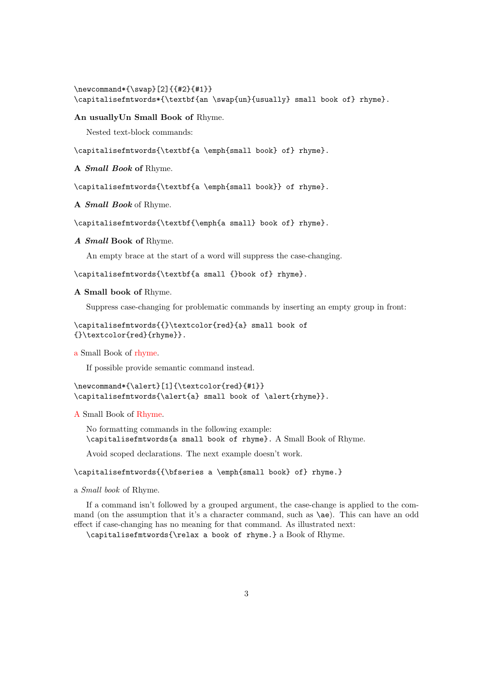```
\newcommand*{\swap}[2]{{#2}{#1}}
\capitalisefmtwords*{\textbf{an \swap{un}{usually} small book of} rhyme}.
```
### An usuallyUn Small Book of Rhyme.

Nested text-block commands:

\capitalisefmtwords{\textbf{a \emph{small book} of} rhyme}.

A Small Book of Rhyme.

\capitalisefmtwords{\textbf{a \emph{small book}} of rhyme}.

A Small Book of Rhyme.

\capitalisefmtwords{\textbf{\emph{a small} book of} rhyme}.

#### A Small Book of Rhyme.

An empty brace at the start of a word will suppress the case-changing.

\capitalisefmtwords{\textbf{a small {}book of} rhyme}.

A Small book of Rhyme.

Suppress case-changing for problematic commands by inserting an empty group in front:

```
\capitalisefmtwords{{}\textcolor{red}{a} small book of
{}\textcolor{red}{rhyme}}.
```
a Small Book of rhyme.

If possible provide semantic command instead.

```
\newcommand*{\alert}[1]{\textcolor{red}{#1}}
\capitalisefmtwords{\alert{a} small book of \alert{rhyme}}.
```
### A Small Book of Rhyme.

No formatting commands in the following example: \capitalisefmtwords{a small book of rhyme}. A Small Book of Rhyme.

Avoid scoped declarations. The next example doesn't work.

### \capitalisefmtwords{{\bfseries a \emph{small book} of} rhyme.}

a Small book of Rhyme.

If a command isn't followed by a grouped argument, the case-change is applied to the command (on the assumption that it's a character command, such as \ae). This can have an odd effect if case-changing has no meaning for that command. As illustrated next:

\capitalisefmtwords{\relax a book of rhyme.} a Book of Rhyme.